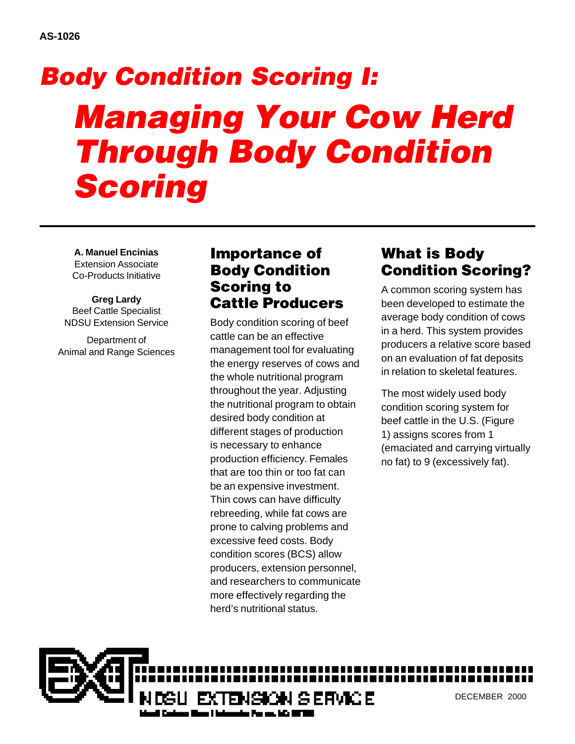# *Body Condition Scoring I: Managing Your Cow Herd Through Body Condition Scoring*

**A. Manuel Encinias** Extension Associate Co-Products Initiative

**Greg Lardy** Beef Cattle Specialist NDSU Extension Service

Department of Animal and Range Sciences

## Importance of Body Condition Scoring to Cattle Producers

Body condition scoring of beef cattle can be an effective management tool for evaluating the energy reserves of cows and the whole nutritional program throughout the year. Adjusting the nutritional program to obtain desired body condition at different stages of production is necessary to enhance production efficiency. Females that are too thin or too fat can be an expensive investment. Thin cows can have difficulty rebreeding, while fat cows are prone to calving problems and excessive feed costs. Body condition scores (BCS) allow producers, extension personnel, and researchers to communicate more effectively regarding the herd's nutritional status.

# What is Body Condition Scoring?

A common scoring system has been developed to estimate the average body condition of cows in a herd. This system provides producers a relative score based on an evaluation of fat deposits in relation to skeletal features.

The most widely used body condition scoring system for beef cattle in the U.S. (Figure 1) assigns scores from 1 (emaciated and carrying virtually no fat) to 9 (excessively fat).

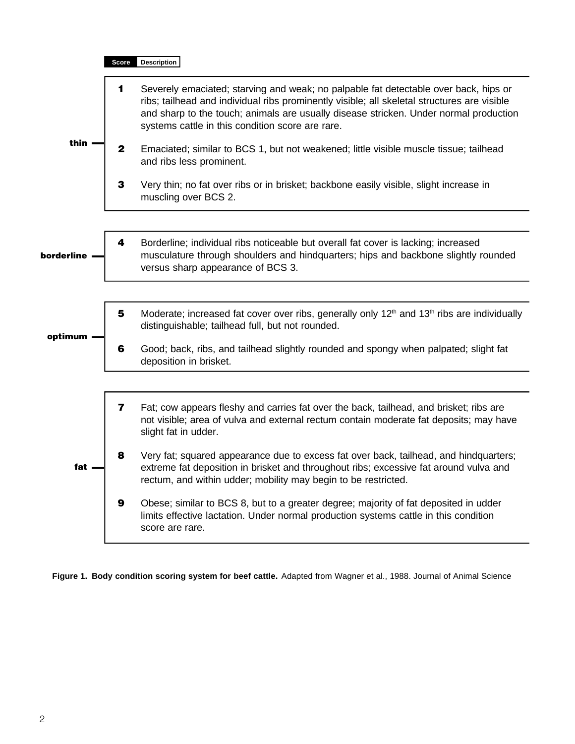

**Figure 1. Body condition scoring system for beef cattle.** Adapted from Wagner et al., 1988. Journal of Animal Science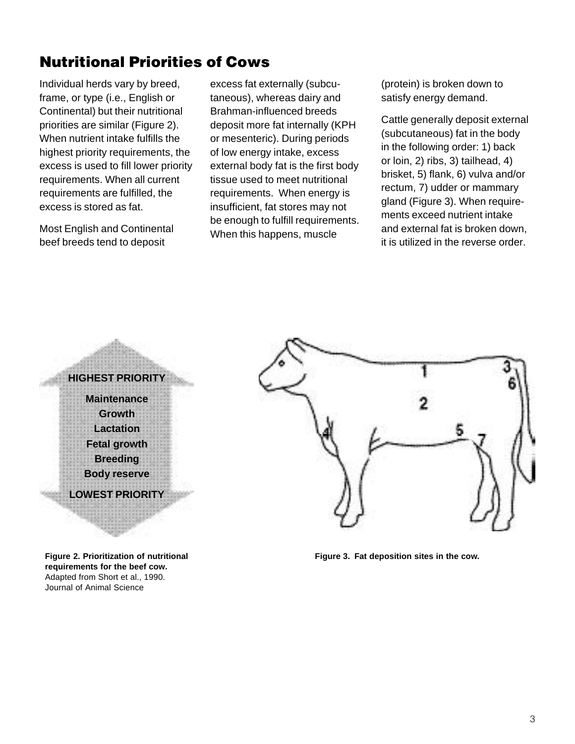# Nutritional Priorities of Cows

Individual herds vary by breed, frame, or type (i.e., English or Continental) but their nutritional priorities are similar (Figure 2). When nutrient intake fulfills the highest priority requirements, the excess is used to fill lower priority requirements. When all current requirements are fulfilled, the excess is stored as fat.

Most English and Continental beef breeds tend to deposit

excess fat externally (subcutaneous), whereas dairy and Brahman-influenced breeds deposit more fat internally (KPH or mesenteric). During periods of low energy intake, excess external body fat is the first body tissue used to meet nutritional requirements. When energy is insufficient, fat stores may not be enough to fulfill requirements. When this happens, muscle

(protein) is broken down to satisfy energy demand.

Cattle generally deposit external (subcutaneous) fat in the body in the following order: 1) back or loin, 2) ribs, 3) tailhead, 4) brisket, 5) flank, 6) vulva and/or rectum, 7) udder or mammary gland (Figure 3). When requirements exceed nutrient intake and external fat is broken down, it is utilized in the reverse order.

## **HIGHEST PRIORITY Maintenance Growth Lactation Fetal growth Breeding Body reserve LOWEST PRIORITY**

**Figure 2. Prioritization of nutritional requirements for the beef cow.** Adapted from Short et al., 1990. Journal of Animal Science



**Figure 3. Fat deposition sites in the cow.**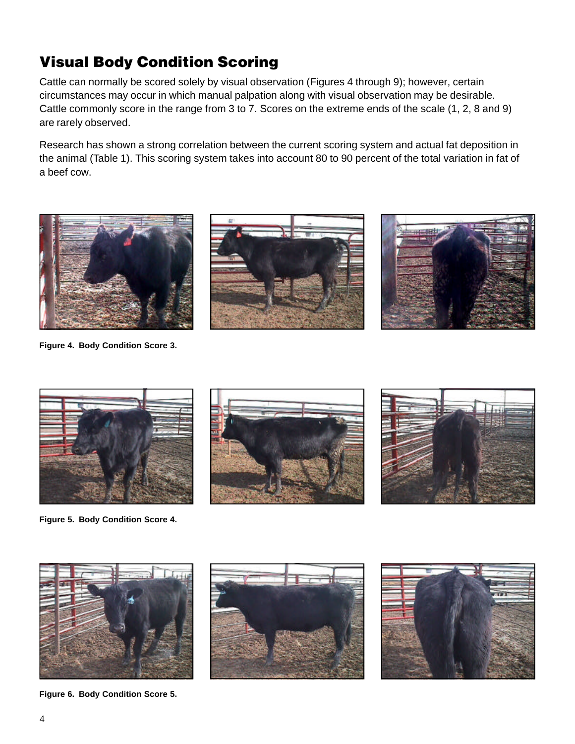# Visual Body Condition Scoring

Cattle can normally be scored solely by visual observation (Figures 4 through 9); however, certain circumstances may occur in which manual palpation along with visual observation may be desirable. Cattle commonly score in the range from 3 to 7. Scores on the extreme ends of the scale (1, 2, 8 and 9) are rarely observed.

Research has shown a strong correlation between the current scoring system and actual fat deposition in the animal (Table 1). This scoring system takes into account 80 to 90 percent of the total variation in fat of a beef cow.



**Figure 4. Body Condition Score 3.**







**Figure 5. Body Condition Score 4.**







**Figure 6. Body Condition Score 5.**



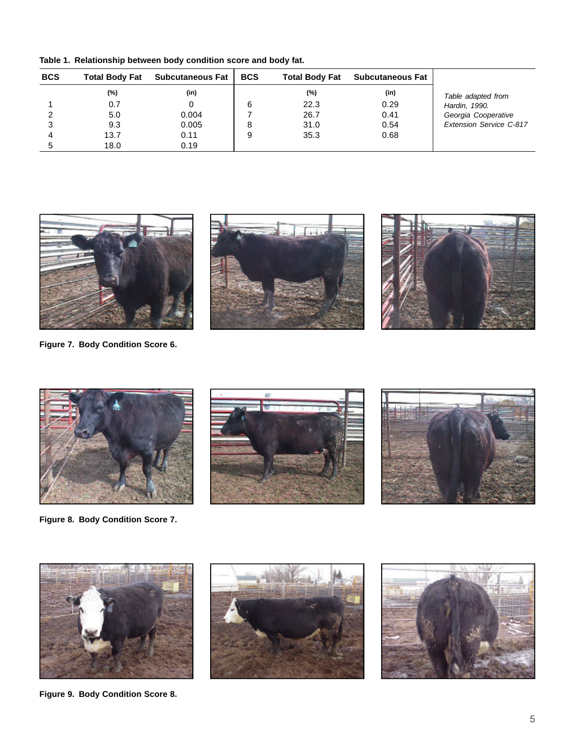**Table 1. Relationship between body condition score and body fat.**

| <b>BCS</b> | <b>Total Body Fat</b> | <b>Subcutaneous Fat</b> | <b>BCS</b> | <b>Total Body Fat</b> | <b>Subcutaneous Fat</b> |                         |
|------------|-----------------------|-------------------------|------------|-----------------------|-------------------------|-------------------------|
|            | $(\%)$                | (in)                    |            | $(\%)$                | (in)                    | Table adapted from      |
|            | 0.7                   |                         | 6          | 22.3                  | 0.29                    | Hardin, 1990.           |
|            | 5.0                   | 0.004                   |            | 26.7                  | 0.41                    | Georgia Cooperative     |
|            | 9.3                   | 0.005                   |            | 31.0                  | 0.54                    | Extension Service C-817 |
|            | 13.7                  | 0.11                    |            | 35.3                  | 0.68                    |                         |
|            | 18.0                  | 0.19                    |            |                       |                         |                         |



**Figure 7. Body Condition Score 6.**



**Figure 8. Body Condition Score 7.**



**Figure 9. Body Condition Score 8.**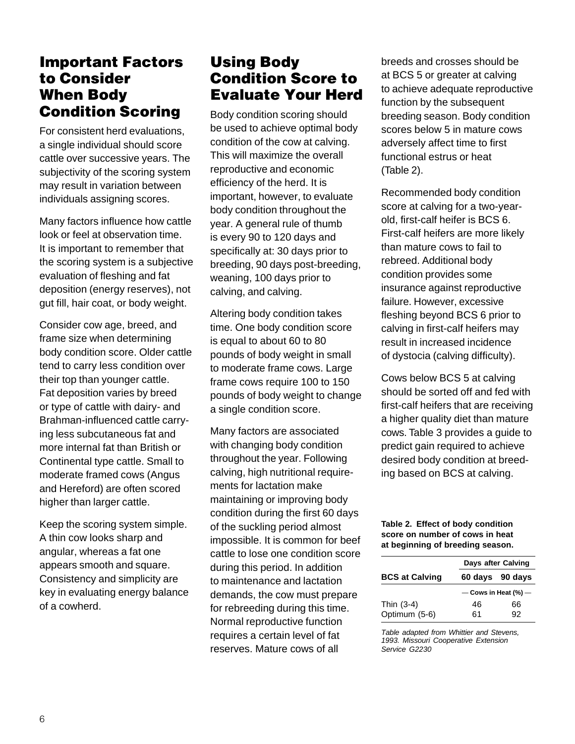## Important Factors to Consider When Body Condition Scoring

For consistent herd evaluations, a single individual should score cattle over successive years. The subjectivity of the scoring system may result in variation between individuals assigning scores.

Many factors influence how cattle look or feel at observation time. It is important to remember that the scoring system is a subjective evaluation of fleshing and fat deposition (energy reserves), not gut fill, hair coat, or body weight.

Consider cow age, breed, and frame size when determining body condition score. Older cattle tend to carry less condition over their top than younger cattle. Fat deposition varies by breed or type of cattle with dairy- and Brahman-influenced cattle carrying less subcutaneous fat and more internal fat than British or Continental type cattle. Small to moderate framed cows (Angus and Hereford) are often scored higher than larger cattle.

Keep the scoring system simple. A thin cow looks sharp and angular, whereas a fat one appears smooth and square. Consistency and simplicity are key in evaluating energy balance of a cowherd.

## Using Body Condition Score to Evaluate Your Herd

Body condition scoring should be used to achieve optimal body condition of the cow at calving. This will maximize the overall reproductive and economic efficiency of the herd. It is important, however, to evaluate body condition throughout the year. A general rule of thumb is every 90 to 120 days and specifically at: 30 days prior to breeding, 90 days post-breeding, weaning, 100 days prior to calving, and calving.

Altering body condition takes time. One body condition score is equal to about 60 to 80 pounds of body weight in small to moderate frame cows. Large frame cows require 100 to 150 pounds of body weight to change a single condition score.

Many factors are associated with changing body condition throughout the year. Following calving, high nutritional requirements for lactation make maintaining or improving body condition during the first 60 days of the suckling period almost impossible. It is common for beef cattle to lose one condition score during this period. In addition to maintenance and lactation demands, the cow must prepare for rebreeding during this time. Normal reproductive function requires a certain level of fat reserves. Mature cows of all

breeds and crosses should be at BCS 5 or greater at calving to achieve adequate reproductive function by the subsequent breeding season. Body condition scores below 5 in mature cows adversely affect time to first functional estrus or heat (Table 2).

Recommended body condition score at calving for a two-yearold, first-calf heifer is BCS 6. First-calf heifers are more likely than mature cows to fail to rebreed. Additional body condition provides some insurance against reproductive failure. However, excessive fleshing beyond BCS 6 prior to calving in first-calf heifers may result in increased incidence of dystocia (calving difficulty).

Cows below BCS 5 at calving should be sorted off and fed with first-calf heifers that are receiving a higher quality diet than mature cows. Table 3 provides a guide to predict gain required to achieve desired body condition at breeding based on BCS at calving.

#### **Table 2. Effect of body condition score on number of cows in heat at beginning of breeding season.**

|                       |    | Days after Calving       |  |  |
|-----------------------|----|--------------------------|--|--|
| <b>BCS at Calving</b> |    | 60 days 90 days          |  |  |
|                       |    | $-$ Cows in Heat (%) $-$ |  |  |
| Thin (3-4)            | 46 | 66                       |  |  |
| Optimum (5-6)         | 61 | 92                       |  |  |
|                       |    |                          |  |  |

*Table adapted from Whittier and Stevens, 1993. Missouri Cooperative Extension Service G2230*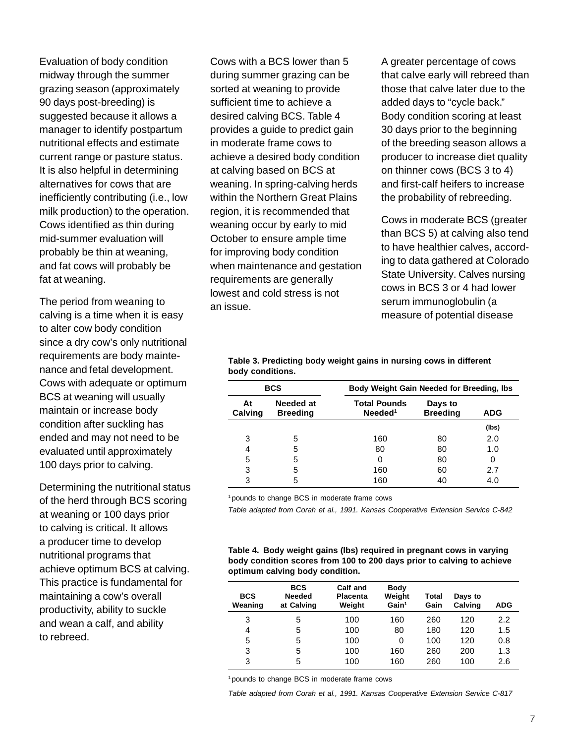Evaluation of body condition midway through the summer grazing season (approximately 90 days post-breeding) is suggested because it allows a manager to identify postpartum nutritional effects and estimate current range or pasture status. It is also helpful in determining alternatives for cows that are inefficiently contributing (i.e., low milk production) to the operation. Cows identified as thin during mid-summer evaluation will probably be thin at weaning, and fat cows will probably be fat at weaning.

The period from weaning to calving is a time when it is easy to alter cow body condition since a dry cow's only nutritional requirements are body maintenance and fetal development. Cows with adequate or optimum BCS at weaning will usually maintain or increase body condition after suckling has ended and may not need to be evaluated until approximately 100 days prior to calving.

Determining the nutritional status of the herd through BCS scoring at weaning or 100 days prior to calving is critical. It allows a producer time to develop nutritional programs that achieve optimum BCS at calving. This practice is fundamental for maintaining a cow's overall productivity, ability to suckle and wean a calf, and ability to rebreed.

Cows with a BCS lower than 5 during summer grazing can be sorted at weaning to provide sufficient time to achieve a desired calving BCS. Table 4 provides a guide to predict gain in moderate frame cows to achieve a desired body condition at calving based on BCS at weaning. In spring-calving herds within the Northern Great Plains region, it is recommended that weaning occur by early to mid October to ensure ample time for improving body condition when maintenance and gestation requirements are generally lowest and cold stress is not an issue.

A greater percentage of cows that calve early will rebreed than those that calve later due to the added days to "cycle back." Body condition scoring at least 30 days prior to the beginning of the breeding season allows a producer to increase diet quality on thinner cows (BCS 3 to 4) and first-calf heifers to increase the probability of rebreeding.

Cows in moderate BCS (greater than BCS 5) at calving also tend to have healthier calves, according to data gathered at Colorado State University. Calves nursing cows in BCS 3 or 4 had lower serum immunoglobulin (a measure of potential disease

| <b>BCS</b>                                    |   | Body Weight Gain Needed for Breeding, Ibs  |                            |       |  |
|-----------------------------------------------|---|--------------------------------------------|----------------------------|-------|--|
| Needed at<br>At<br>Calving<br><b>Breeding</b> |   | <b>Total Pounds</b><br>Needed <sup>1</sup> | Days to<br><b>Breeding</b> | ADG   |  |
|                                               |   |                                            |                            | (lbs) |  |
| 3                                             | 5 | 160                                        | 80                         | 2.0   |  |
| 4                                             | 5 | 80                                         | 80                         | 1.0   |  |
| 5                                             | 5 | 0                                          | 80                         | 0     |  |
| 3                                             | 5 | 160                                        | 60                         | 2.7   |  |
| 3                                             | 5 | 160                                        | 40                         | 4.0   |  |

**Table 3. Predicting body weight gains in nursing cows in different body conditions.**

<sup>1</sup> pounds to change BCS in moderate frame cows

*Table adapted from Corah et al., 1991. Kansas Cooperative Extension Service C-842*

**Table 4. Body weight gains (lbs) required in pregnant cows in varying body condition scores from 100 to 200 days prior to calving to achieve optimum calving body condition.**

| <b>BCS</b><br>Weaning | <b>BCS</b><br><b>Needed</b><br>at Calving | Calf and<br><b>Placenta</b><br>Weight | <b>Body</b><br>Weight<br>Gain <sup>1</sup> | Total<br>Gain | Days to<br>Calving | ADG |
|-----------------------|-------------------------------------------|---------------------------------------|--------------------------------------------|---------------|--------------------|-----|
| 3                     | 5                                         | 100                                   | 160                                        | 260           | 120                | 2.2 |
| 4                     | 5                                         | 100                                   | 80                                         | 180           | 120                | 1.5 |
| 5                     | 5                                         | 100                                   | 0                                          | 100           | 120                | 0.8 |
| 3                     | 5                                         | 100                                   | 160                                        | 260           | 200                | 1.3 |
| 3                     | 5                                         | 100                                   | 160                                        | 260           | 100                | 2.6 |

<sup>1</sup> pounds to change BCS in moderate frame cows

*Table adapted from Corah et al., 1991. Kansas Cooperative Extension Service C-817*